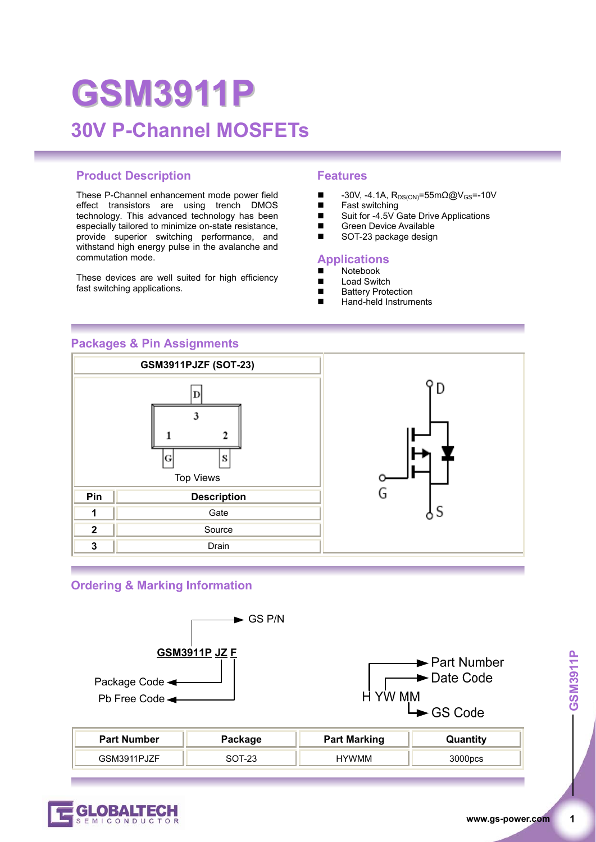## **GSM3911P 30V P-Channel MOSFETs**

#### **Product Description Features**

These P-Channel enhancement mode power field effect transistors are using trench DMOS technology. This advanced technology has been especially tailored to minimize on-state resistance, provide superior switching performance, and withstand high energy pulse in the avalanche and commutation mode.

These devices are well suited for high efficiency fast switching applications.

- $\blacksquare$  -30V, -4.1A, R<sub>DS(ON)</sub>=55mΩ@V<sub>GS</sub>=-10V
- Fast switching
- Suit for -4.5V Gate Drive Applications
- Green Device Available<br>SOT-23 package design
- SOT-23 package design

#### **Applications**

- $\blacksquare$  Notebook
- Load Switch
- Battery Protection
- Hand-held Instruments

#### **Packages & Pin Assignments**



#### **Ordering & Marking Information**



| <b>Part Number</b> | Package    | <b>Part Marking</b> | Quantity |
|--------------------|------------|---------------------|----------|
| GSM3911PJZF        | ົດລ<br>-23 | <b>HYWMM</b>        | 000pcs   |

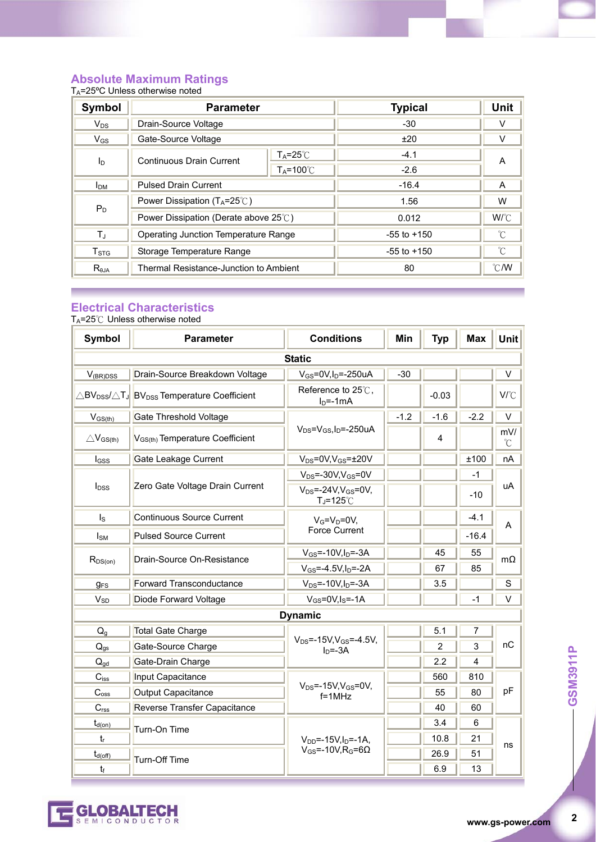#### **Absolute Maximum Ratings**

| $T_A = 25^{\circ}$ C Unless otherwise noted |                                              |                     |                 |                 |
|---------------------------------------------|----------------------------------------------|---------------------|-----------------|-----------------|
| <b>Symbol</b>                               | <b>Parameter</b>                             |                     | <b>Typical</b>  | Unit            |
| $V_{DS}$                                    | Drain-Source Voltage                         |                     | $-30$           | ٧               |
| $V_{GS}$                                    | Gate-Source Voltage                          |                     | ±20             | V               |
| I <sub>D</sub>                              | <b>Continuous Drain Current</b>              | $T_A = 25^\circ C$  | $-4.1$          | A               |
|                                             |                                              | $T_A = 100^{\circ}$ | $-2.6$          |                 |
| I <sub>DM</sub>                             | <b>Pulsed Drain Current</b>                  |                     | $-16.4$         | A               |
| $P_D$                                       | Power Dissipation $(T_A=25^{\circ}\text{C})$ |                     | 1.56            | W               |
|                                             | Power Dissipation (Derate above 25°C)        |                     | 0.012           | W/°C            |
| $T_{\rm J}$                                 | Operating Junction Temperature Range         |                     | $-55$ to $+150$ | °C              |
| $T_{\mathtt{STG}}$                          | Storage Temperature Range                    |                     | $-55$ to $+150$ | $\rm ^{\circ}C$ |
| $R_{\theta$ JA                              | Thermal Resistance-Junction to Ambient       |                     | 80              | $\degree$ C/W   |

#### **Electrical Characteristics**

TA=25℃ Unless otherwise noted

| <b>Symbol</b>                   | <b>Parameter</b>                                                                         | <b>Conditions</b>                                               | Min    | <b>Typ</b> | <b>Max</b> | <b>Unit</b>     |
|---------------------------------|------------------------------------------------------------------------------------------|-----------------------------------------------------------------|--------|------------|------------|-----------------|
| <b>Static</b>                   |                                                                                          |                                                                 |        |            |            |                 |
| $V_{(BR)DSS}$                   | Drain-Source Breakdown Voltage                                                           | $V_{GS}$ =0V,I <sub>D</sub> =-250uA                             | $-30$  |            |            | V               |
|                                 | $\triangle$ BV <sub>DSS</sub> / $\triangle$ TJ BV <sub>DSS</sub> Temperature Coefficient | Reference to 25℃,<br>$ID=-1mA$                                  |        | $-0.03$    |            | V/°C            |
| $V_{GS(th)}$                    | <b>Gate Threshold Voltage</b>                                                            |                                                                 | $-1.2$ | $-1.6$     | $-2.2$     | V               |
| $\triangle$ V <sub>GS(th)</sub> | V <sub>GS(th)</sub> Temperature Coefficient                                              | $V_{DS} = V_{GS}I_D = -250uA$                                   |        | 4          |            | mV/<br>$\rm{C}$ |
| lgss                            | Gate Leakage Current                                                                     | $V_{DS} = 0V, V_{GS} = \pm 20V$                                 |        |            | ±100       | nA              |
|                                 |                                                                                          | $V_{DS} = -30V, V_{GS} = 0V$                                    |        |            | $-1$       |                 |
| $I_{DSS}$                       | Zero Gate Voltage Drain Current                                                          | $V_{DS} = -24V$ , $V_{GS} = 0V$ ,<br>$T_J = 125^\circ \text{C}$ |        |            | $-10$      | uA              |
| Is                              | Continuous Source Current                                                                | $V_G=V_D=0V$                                                    |        |            | $-4.1$     |                 |
| <b>I</b> sm                     | <b>Pulsed Source Current</b>                                                             | Force Current                                                   |        |            | $-16.4$    | A               |
| $R_{DS(on)}$                    | Drain-Source On-Resistance                                                               | $V_{GS} = -10V, I_D = -3A$                                      |        | 45         | 55         | $m\Omega$       |
|                                 |                                                                                          | $V_{GS} = -4.5V, I_D = -2A$                                     |        | 67         | 85         |                 |
| <b>g<sub>FS</sub></b>           | <b>Forward Transconductance</b>                                                          | $V_{DS}$ =-10V, $I_D$ =-3A                                      |        | 3.5        |            | S               |
| $V_{SD}$                        | Diode Forward Voltage                                                                    | $V_{GS} = 0V, I_S = -1A$                                        |        |            | $-1$       | V               |
|                                 |                                                                                          | <b>Dynamic</b>                                                  |        |            |            |                 |
| $Q_q$                           | <b>Total Gate Charge</b>                                                                 |                                                                 |        | 5.1        | 7          |                 |
| $Q_{qs}$                        | Gate-Source Charge                                                                       | $V_{DS} = -15V$ , $V_{GS} = -4.5V$ ,<br>$In = -3A$              |        | 2          | 3          | nC              |
| $Q_{\text{qd}}$                 | Gate-Drain Charge                                                                        |                                                                 |        | 2.2        | 4          |                 |
| $C_{iss}$                       | Input Capacitance                                                                        |                                                                 |        | 560        | 810        |                 |
| $C_{\text{oss}}$                | Output Capacitance                                                                       | $V_{DS}$ =-15V, $V_{GS}$ =0V,<br>$f = 1MHz$                     |        | 55         | 80         | pF              |
| $C_{\text{rss}}$                | Reverse Transfer Capacitance                                                             |                                                                 |        | 40         | 60         |                 |
| $t_{d(on)}$                     | Turn-On Time                                                                             |                                                                 |        | 3.4        | 6          |                 |
| $t_{r}$                         |                                                                                          | $V_{DD}$ =-15V, I <sub>D</sub> =-1A,                            |        | 10.8       | 21         | ns              |
| $t_{d(\text{off})}$             | Turn-Off Time                                                                            | $V_{GS}$ =-10V, R <sub>G</sub> =6 $\Omega$                      |        | 26.9       | 51         |                 |
| t                               |                                                                                          |                                                                 |        | 6.9        | 13         |                 |



 $\overline{2}$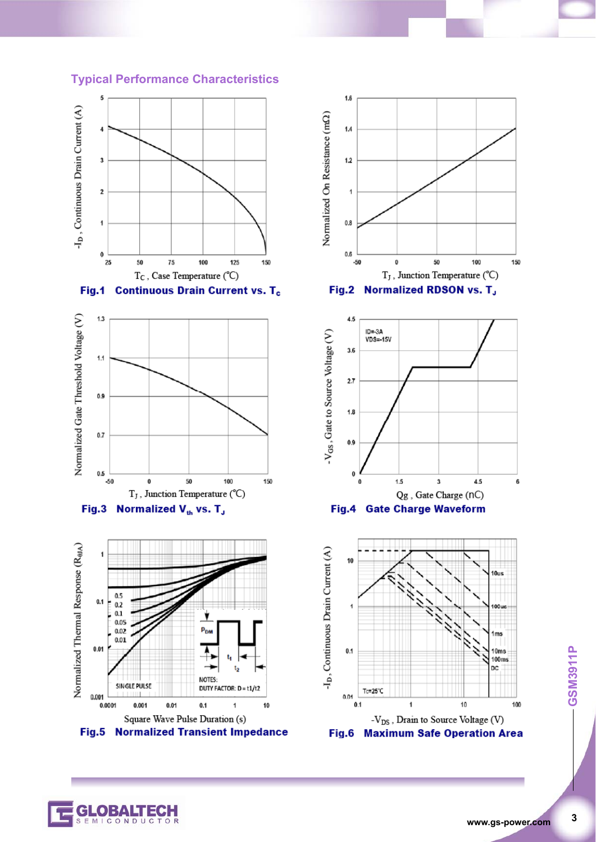









# **3** GSM3911P

ICONDUC

 $\overline{\mathbf{3}}$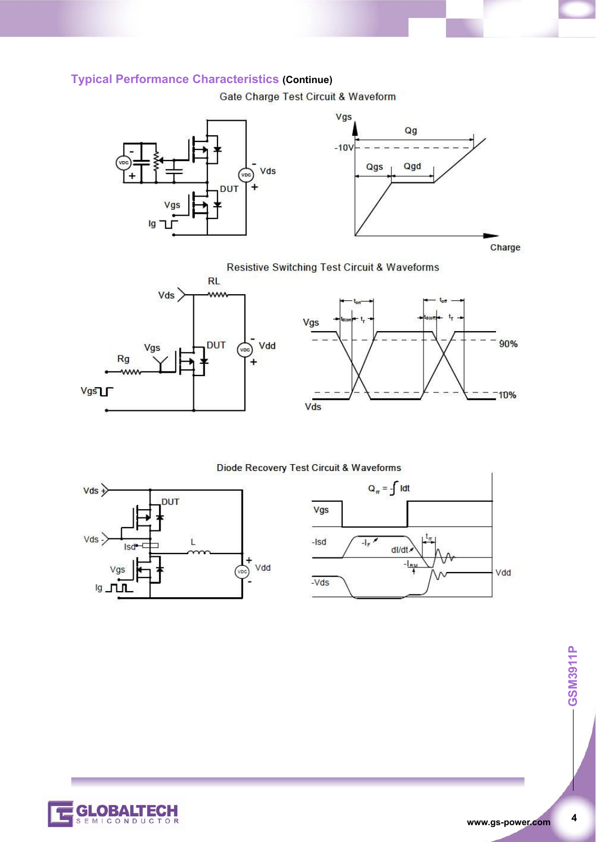#### **Typical Performance Characteristics (Continue)**

Gate Charge Test Circuit & Waveform





**Resistive Switching Test Circuit & Waveforms** 





#### Diode Recovery Test Circuit & Waveforms







**4 GSM3911P** 

 $\overline{\mathbf{4}}$ 

-GSM3911P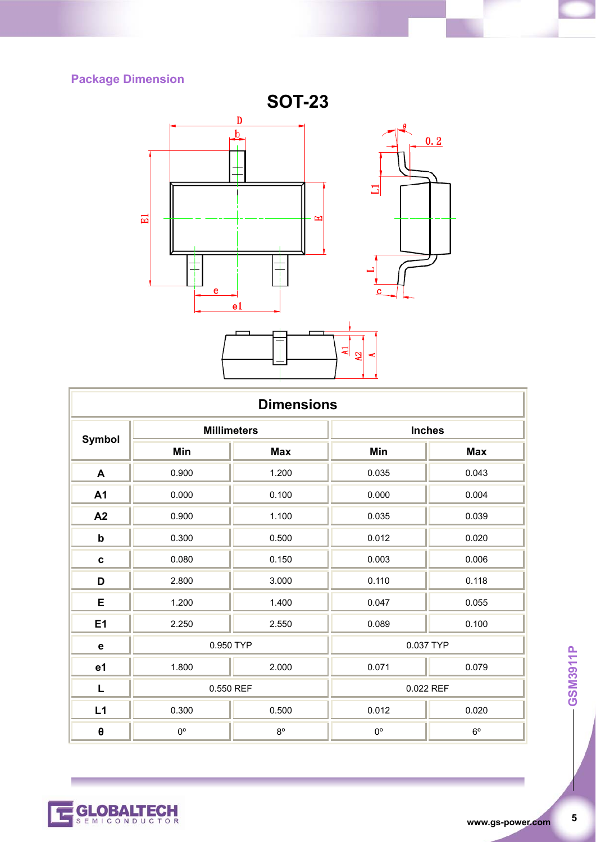### **Package Dimension**



| <b>Dimensions</b> |                    |             |               |             |  |
|-------------------|--------------------|-------------|---------------|-------------|--|
| <b>Symbol</b>     | <b>Millimeters</b> |             | <b>Inches</b> |             |  |
|                   | Min                | <b>Max</b>  | Min           | <b>Max</b>  |  |
| A                 | 0.900              | 1.200       | 0.035         | 0.043       |  |
| A1                | 0.000              | 0.100       | 0.000         | 0.004       |  |
| A2                | 0.900              | 1.100       | 0.035         | 0.039       |  |
| ${\sf b}$         | 0.300              | 0.500       | 0.012         | 0.020       |  |
| $\mathbf c$       | 0.080              | 0.150       | 0.003         | 0.006       |  |
| D                 | 2.800              | 3.000       | 0.110         | 0.118       |  |
| E                 | 1.200              | 1.400       | 0.047         | 0.055       |  |
| E1                | 2.250              | 2.550       | 0.089         | 0.100       |  |
| $\mathbf e$       | 0.950 TYP          |             | 0.037 TYP     |             |  |
| e1                | 1.800              | 2.000       | 0.071         | 0.079       |  |
| L                 | 0.550 REF          |             | 0.022 REF     |             |  |
| L1                | 0.300              | 0.500       | 0.012         | 0.020       |  |
| $\pmb{\theta}$    | $0^{\circ}$        | $8^{\circ}$ | $0^{\circ}$   | $6^{\circ}$ |  |

 $\overline{\mathbf{5}}$